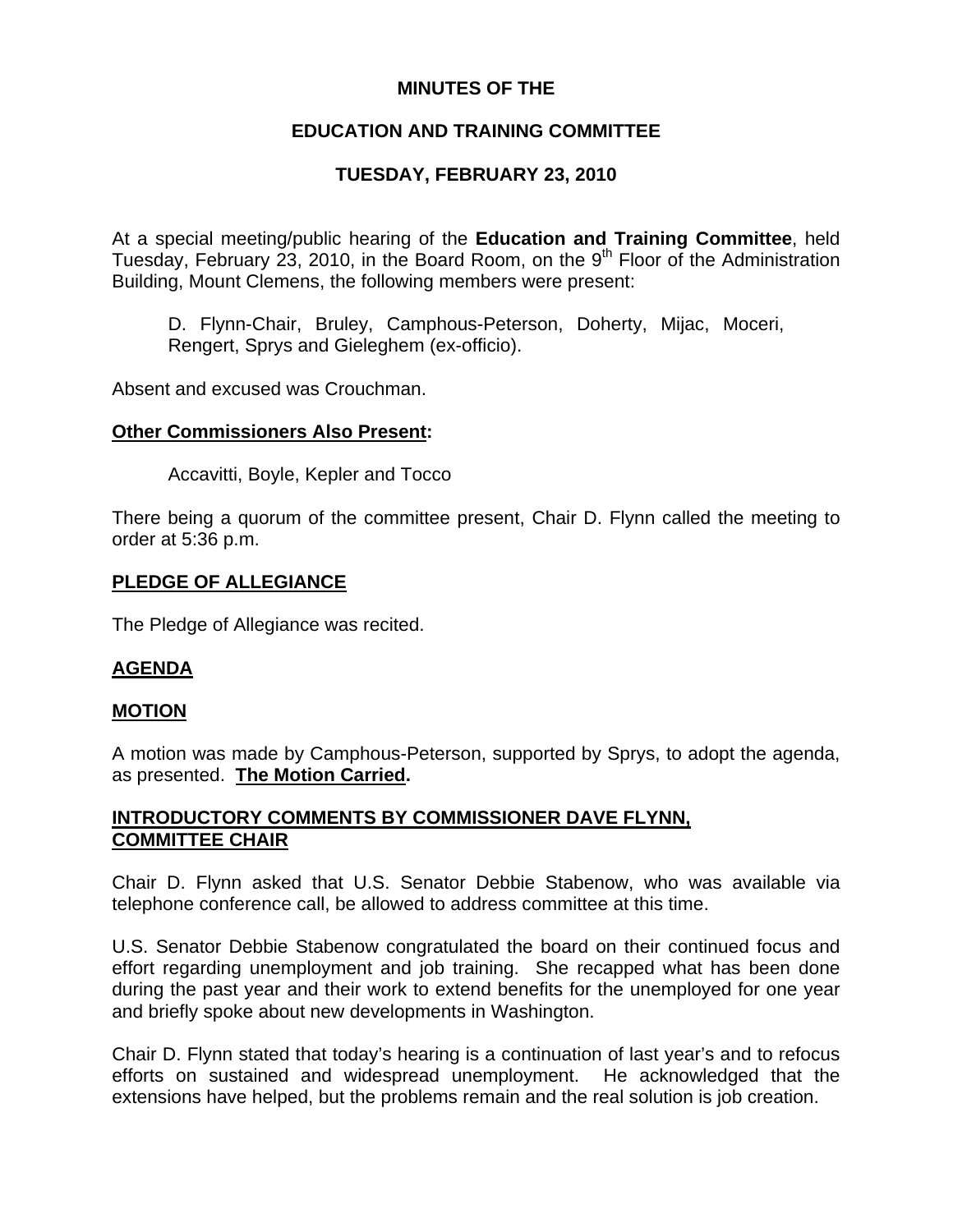# **MINUTES OF THE**

# **EDUCATION AND TRAINING COMMITTEE**

# **TUESDAY, FEBRUARY 23, 2010**

At a special meeting/public hearing of the **Education and Training Committee**, held Tuesday, February 23, 2010, in the Board Room, on the  $9<sup>th</sup>$  Floor of the Administration Building, Mount Clemens, the following members were present:

D. Flynn-Chair, Bruley, Camphous-Peterson, Doherty, Mijac, Moceri, Rengert, Sprys and Gieleghem (ex-officio).

Absent and excused was Crouchman.

### **Other Commissioners Also Present:**

Accavitti, Boyle, Kepler and Tocco

There being a quorum of the committee present, Chair D. Flynn called the meeting to order at 5:36 p.m.

## **PLEDGE OF ALLEGIANCE**

The Pledge of Allegiance was recited.

## **AGENDA**

#### **MOTION**

A motion was made by Camphous-Peterson, supported by Sprys, to adopt the agenda, as presented. **The Motion Carried.** 

## **INTRODUCTORY COMMENTS BY COMMISSIONER DAVE FLYNN, COMMITTEE CHAIR**

Chair D. Flynn asked that U.S. Senator Debbie Stabenow, who was available via telephone conference call, be allowed to address committee at this time.

U.S. Senator Debbie Stabenow congratulated the board on their continued focus and effort regarding unemployment and job training. She recapped what has been done during the past year and their work to extend benefits for the unemployed for one year and briefly spoke about new developments in Washington.

Chair D. Flynn stated that today's hearing is a continuation of last year's and to refocus efforts on sustained and widespread unemployment. He acknowledged that the extensions have helped, but the problems remain and the real solution is job creation.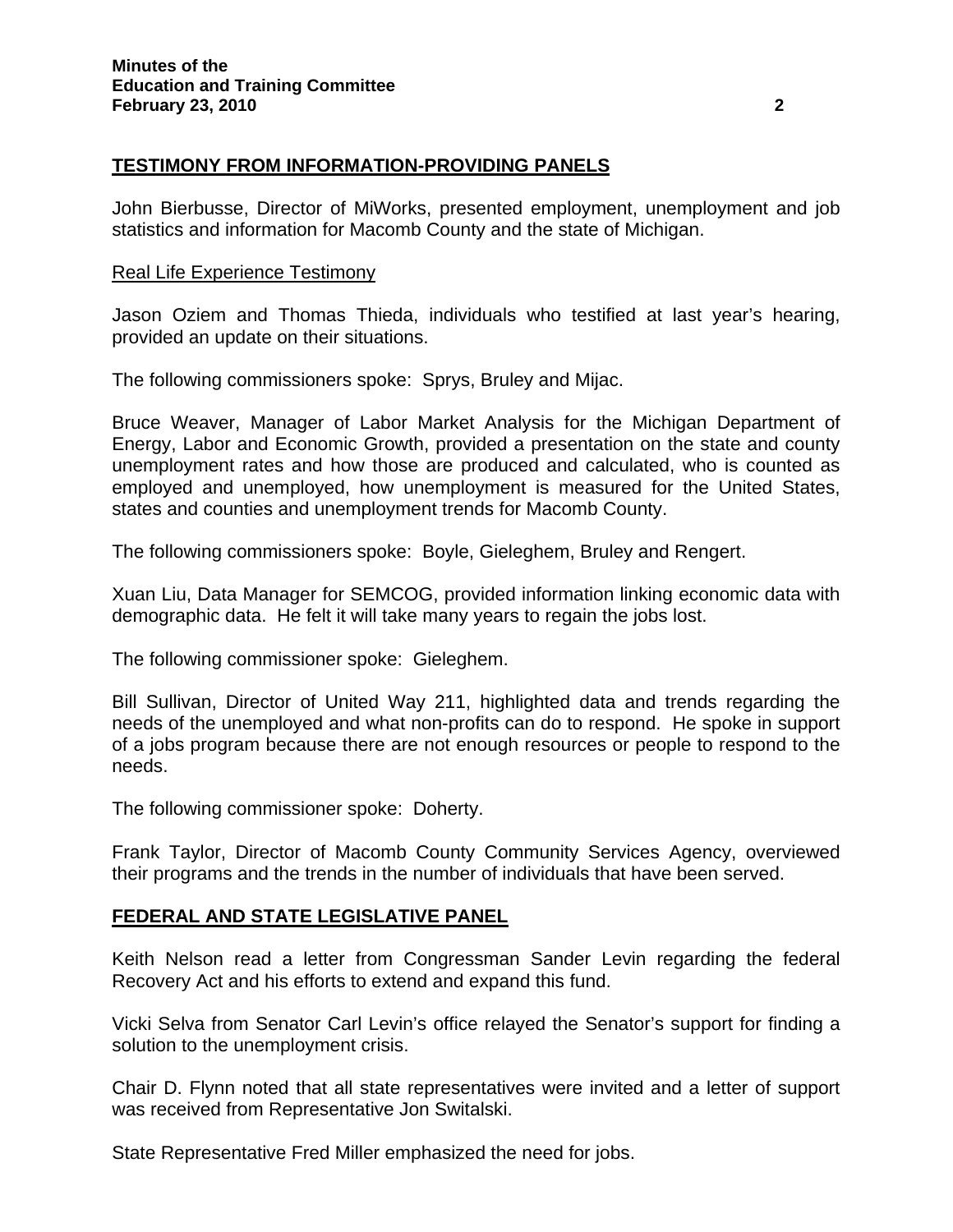# **TESTIMONY FROM INFORMATION-PROVIDING PANELS**

John Bierbusse, Director of MiWorks, presented employment, unemployment and job statistics and information for Macomb County and the state of Michigan.

#### Real Life Experience Testimony

Jason Oziem and Thomas Thieda, individuals who testified at last year's hearing, provided an update on their situations.

The following commissioners spoke: Sprys, Bruley and Mijac.

Bruce Weaver, Manager of Labor Market Analysis for the Michigan Department of Energy, Labor and Economic Growth, provided a presentation on the state and county unemployment rates and how those are produced and calculated, who is counted as employed and unemployed, how unemployment is measured for the United States, states and counties and unemployment trends for Macomb County.

The following commissioners spoke: Boyle, Gieleghem, Bruley and Rengert.

Xuan Liu, Data Manager for SEMCOG, provided information linking economic data with demographic data. He felt it will take many years to regain the jobs lost.

The following commissioner spoke: Gieleghem.

Bill Sullivan, Director of United Way 211, highlighted data and trends regarding the needs of the unemployed and what non-profits can do to respond. He spoke in support of a jobs program because there are not enough resources or people to respond to the needs.

The following commissioner spoke: Doherty.

Frank Taylor, Director of Macomb County Community Services Agency, overviewed their programs and the trends in the number of individuals that have been served.

#### **FEDERAL AND STATE LEGISLATIVE PANEL**

Keith Nelson read a letter from Congressman Sander Levin regarding the federal Recovery Act and his efforts to extend and expand this fund.

Vicki Selva from Senator Carl Levin's office relayed the Senator's support for finding a solution to the unemployment crisis.

Chair D. Flynn noted that all state representatives were invited and a letter of support was received from Representative Jon Switalski.

State Representative Fred Miller emphasized the need for jobs.